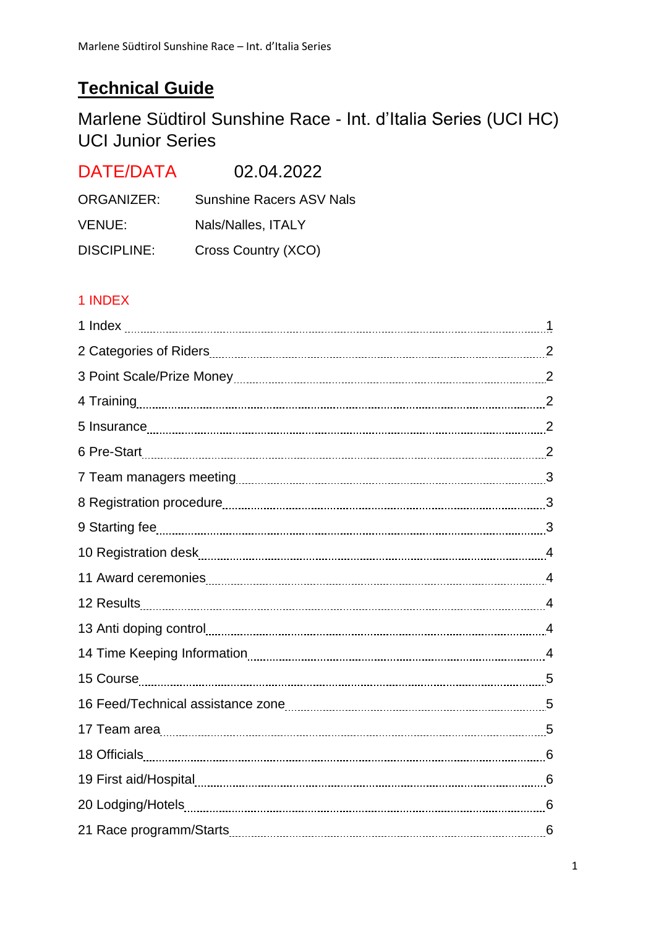# **Technical Guide**

Marlene Südtirol Sunshine Race - Int. d'Italia Series (UCI HC) UCI Junior Series

| DATE/DATA          | 02.04.2022                      |
|--------------------|---------------------------------|
| ORGANIZER:         | <b>Sunshine Racers ASV Nals</b> |
| VENUE:             | Nals/Nalles, ITALY              |
| <b>DISCIPLINE:</b> | Cross Country (XCO)             |

# 1 INDEX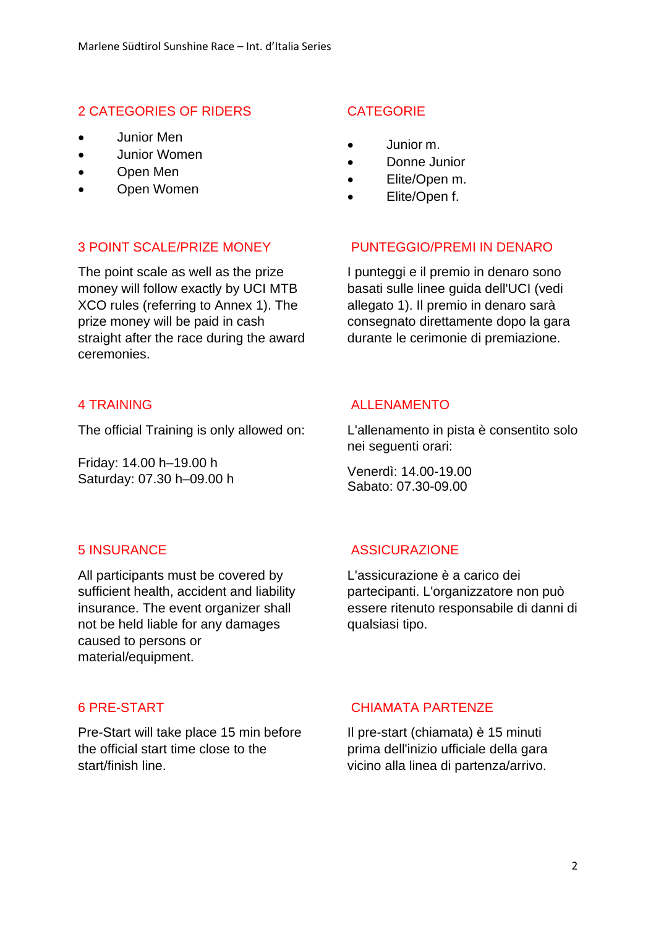### 2 CATEGORIES OF RIDERS

- Junior Men
- Junior Women
- Open Men
- Open Women

### **CATEGORIE**

- Junior m.
- Donne Junior
- Elite/Open m.
- Elite/Open f.

### 3 POINT SCALE/PRIZE MONEY PUNTEGGIO/PREMI IN DENARO

The point scale as well as the prize money will follow exactly by UCI MTB XCO rules (referring to Annex 1). The prize money will be paid in cash straight after the race during the award ceremonies.

The official Training is only allowed on:

Friday: 14.00 h–19.00 h Saturday: 07.30 h–09.00 h

I punteggi e il premio in denaro sono basati sulle linee guida dell'UCI (vedi allegato 1). Il premio in denaro sarà consegnato direttamente dopo la gara durante le cerimonie di premiazione.

### 4 TRAINING ALLENAMENTO

L'allenamento in pista è consentito solo nei seguenti orari:

Venerdì: 14.00-19.00 Sabato: 07.30-09.00

All participants must be covered by sufficient health, accident and liability insurance. The event organizer shall not be held liable for any damages caused to persons or material/equipment.

Pre-Start will take place 15 min before the official start time close to the start/finish line.

### 5 INSURANCE ASSICURAZIONE

L'assicurazione è a carico dei partecipanti. L'organizzatore non può essere ritenuto responsabile di danni di qualsiasi tipo.

### 6 PRE-START CHIAMATA PARTENZE

Il pre-start (chiamata) è 15 minuti prima dell'inizio ufficiale della gara vicino alla linea di partenza/arrivo.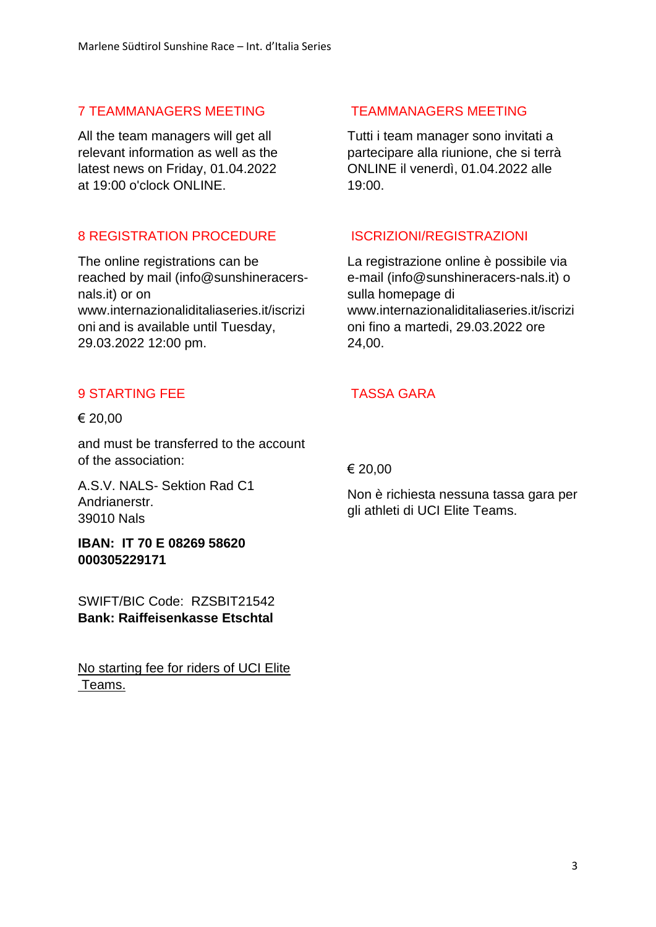# 7 TEAMMANAGERS MEETING TEAMMANAGERS MEETING

All the team managers will get all relevant information as well as the latest news on Friday, 01.04.2022 at 19:00 o'clock ONLINE.

# 8 REGISTRATION PROCEDURE ISCRIZIONI/REGISTRAZIONI

The online registrations can be reached by mail (info@sunshineracersnals.it) or on www.internazionaliditaliaseries.it/iscrizi oni and is available until Tuesday, 29.03.2022 12:00 pm.

# 9 STARTING FFF TASSA GARA

### € 20,00

and must be transferred to the account of the association:

A.S.V. NALS- Sektion Rad C1 Andrianerstr. 39010 Nals

**IBAN: IT 70 E 08269 58620 000305229171**

SWIFT/BIC Code: RZSBIT21542 **Bank: Raiffeisenkasse Etschtal**

No starting fee for riders of UCI Elite Teams.

Tutti i team manager sono invitati a partecipare alla riunione, che si terrà ONLINE il venerdì, 01.04.2022 alle 19:00.

La registrazione online è possibile via e-mail (info@sunshineracers-nals.it) o sulla homepage di www.internazionaliditaliaseries.it/iscrizi oni fino a martedi, 29.03.2022 ore 24,00.

€ 20,00

Non è richiesta nessuna tassa gara per gli athleti di UCI Elite Teams.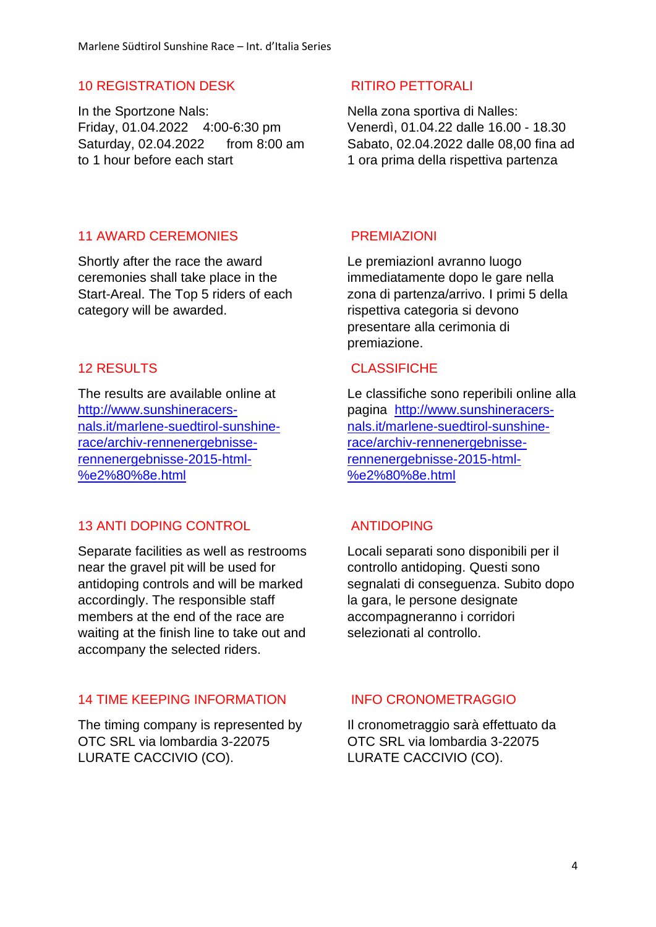### 10 REGISTRATION DESK RITIRO PETTORALI

In the Sportzone Nals: Friday, 01.04.2022 4:00-6:30 pm Saturday, 02.04.2022 from 8:00 am to 1 hour before each start

Nella zona sportiva di Nalles: Venerdì, 01.04.22 dalle 16.00 - 18.30 Sabato, 02.04.2022 dalle 08,00 fina ad 1 ora prima della rispettiva partenza

### 11 AWARD CEREMONIES PREMIAZIONI

Shortly after the race the award ceremonies shall take place in the Start-Areal. The Top 5 riders of each category will be awarded.

The results are available online at [http://www.sunshineracers](http://www.sunshineracers-nals.it/marlene-suedtirol-sunshine-race/archiv-rennenergebnisse-rennenergebnisse-2015-html-%e2%80%8e.html)[nals.it/marlene-suedtirol-sunshine](http://www.sunshineracers-nals.it/marlene-suedtirol-sunshine-race/archiv-rennenergebnisse-rennenergebnisse-2015-html-%e2%80%8e.html)[race/archiv-rennenergebnisse](http://www.sunshineracers-nals.it/marlene-suedtirol-sunshine-race/archiv-rennenergebnisse-rennenergebnisse-2015-html-%e2%80%8e.html)[rennenergebnisse-2015-html-](http://www.sunshineracers-nals.it/marlene-suedtirol-sunshine-race/archiv-rennenergebnisse-rennenergebnisse-2015-html-%e2%80%8e.html) [%e2%80%8e.html](http://www.sunshineracers-nals.it/marlene-suedtirol-sunshine-race/archiv-rennenergebnisse-rennenergebnisse-2015-html-%e2%80%8e.html)

# 13 ANTI DOPING CONTROL ANTIDOPING

Separate facilities as well as restrooms near the gravel pit will be used for antidoping controls and will be marked accordingly. The responsible staff members at the end of the race are waiting at the finish line to take out and accompany the selected riders.

### 14 TIME KEEPING INFORMATION INFO CRONOMETRAGGIO

The timing company is represented by OTC SRL via lombardia 3-22075 LURATE CACCIVIO (CO).

Le premiazionI avranno luogo immediatamente dopo le gare nella zona di partenza/arrivo. I primi 5 della rispettiva categoria si devono presentare alla cerimonia di premiazione.

### 12 RESULTS CLASSIFICHE

Le classifiche sono reperibili online alla pagina [http://www.sunshineracers](http://www.sunshineracers-nals.it/marlene-suedtirol-sunshine-race/archiv-rennenergebnisse-rennenergebnisse-2015-html-%e2%80%8e.html)[nals.it/marlene-suedtirol-sunshine](http://www.sunshineracers-nals.it/marlene-suedtirol-sunshine-race/archiv-rennenergebnisse-rennenergebnisse-2015-html-%e2%80%8e.html)[race/archiv-rennenergebnisse](http://www.sunshineracers-nals.it/marlene-suedtirol-sunshine-race/archiv-rennenergebnisse-rennenergebnisse-2015-html-%e2%80%8e.html)[rennenergebnisse-2015-html-](http://www.sunshineracers-nals.it/marlene-suedtirol-sunshine-race/archiv-rennenergebnisse-rennenergebnisse-2015-html-%e2%80%8e.html) [%e2%80%8e.html](http://www.sunshineracers-nals.it/marlene-suedtirol-sunshine-race/archiv-rennenergebnisse-rennenergebnisse-2015-html-%e2%80%8e.html)

Locali separati sono disponibili per il controllo antidoping. Questi sono segnalati di conseguenza. Subito dopo la gara, le persone designate accompagneranno i corridori selezionati al controllo.

Il cronometraggio sarà effettuato da OTC SRL via lombardia 3-22075 LURATE CACCIVIO (CO).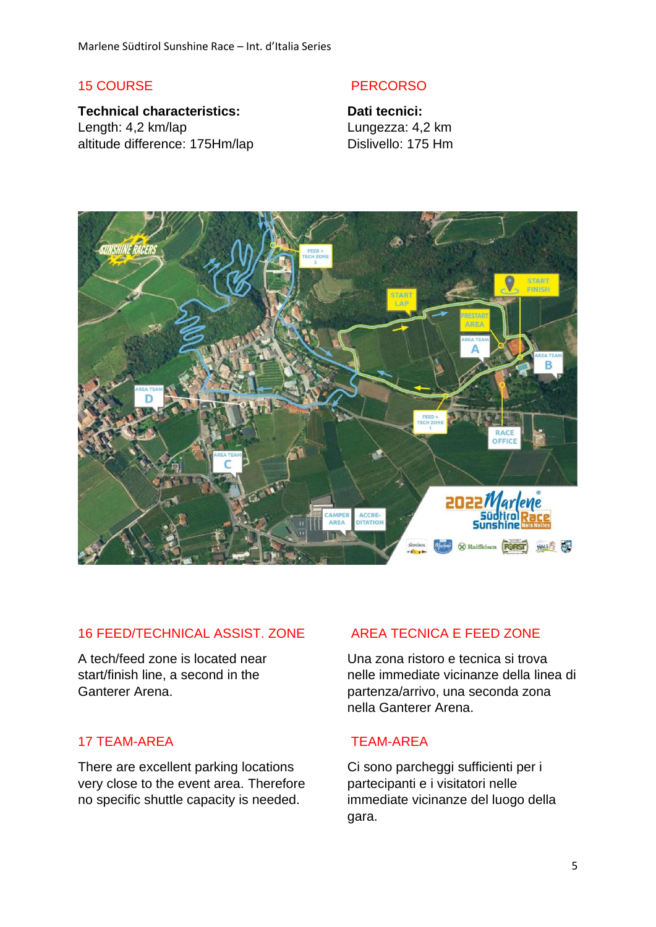**Technical characteristics:** Length: 4,2 km/lap altitude difference: 175Hm/lap

### 15 COURSE PERCORSO

**Dati tecnici:** Lungezza: 4,2 km Dislivello: 175 Hm



# 16 FEED/TECHNICAL ASSIST. ZONE AREA TECNICA E FEED ZONE

A tech/feed zone is located near start/finish line, a second in the Ganterer Arena.

### 17 TEAM-AREA TEAM-AREA

There are excellent parking locations very close to the event area. Therefore no specific shuttle capacity is needed.

Una zona ristoro e tecnica si trova nelle immediate vicinanze della linea di partenza/arrivo, una seconda zona nella Ganterer Arena.

Ci sono parcheggi sufficienti per i partecipanti e i visitatori nelle immediate vicinanze del luogo della gara.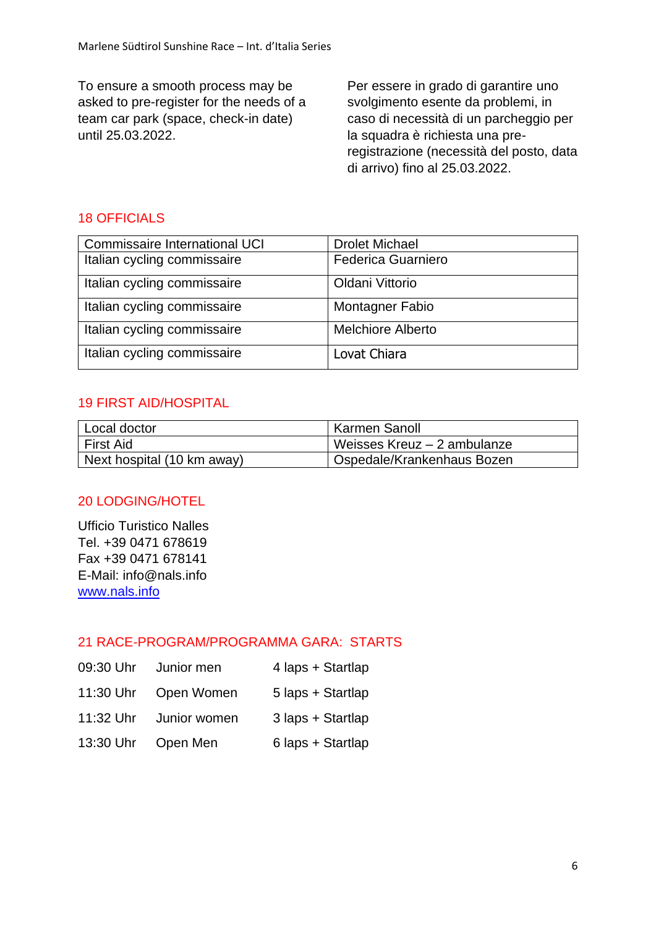To ensure a smooth process may be asked to pre-register for the needs of a team car park (space, check-in date) until 25.03.2022.

Per essere in grado di garantire uno svolgimento esente da problemi, in caso di necessità di un parcheggio per la squadra è richiesta una preregistrazione (necessità del posto, data di arrivo) fino al 25.03.2022.

# 18 OFFICIALS

| <b>Commissaire International UCI</b> | <b>Drolet Michael</b>     |
|--------------------------------------|---------------------------|
| Italian cycling commissaire          | <b>Federica Guarniero</b> |
| Italian cycling commissaire          | Oldani Vittorio           |
| Italian cycling commissaire          | Montagner Fabio           |
| Italian cycling commissaire          | <b>Melchiore Alberto</b>  |
| Italian cycling commissaire          | Lovat Chiara              |

# 19 FIRST AID/HOSPITAL

| l Local doctor             | Karmen Sanoll               |
|----------------------------|-----------------------------|
| <b>First Aid</b>           | Weisses Kreuz - 2 ambulanze |
| Next hospital (10 km away) | Ospedale/Krankenhaus Bozen  |

# 20 LODGING/HOTEL

Ufficio Turistico Nalles Tel. +39 0471 678619 Fax +39 0471 678141 E-Mail: info@nals.info [www.nals.info](http://www.nals.info/de/unterkuenfte-in-nals.php)

# 21 RACE-PROGRAM/PROGRAMMA GARA: STARTS

- 09:30 Uhr Junior men 4 laps + Startlap
- 11:30 Uhr Open Women 5 laps + Startlap
- 11:32 Uhr Junior women 3 laps + Startlap
- 13:30 Uhr Open Men 6 laps + Startlap